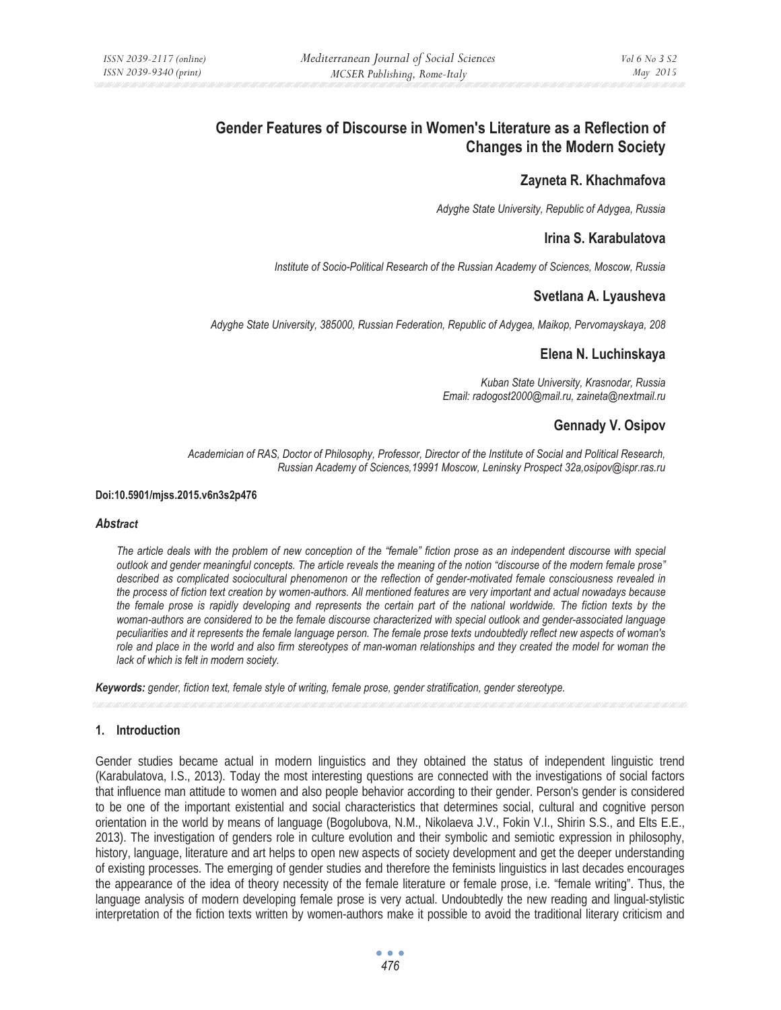# **Gender Features of Discourse in Women's Literature as a Reflection of Changes in the Modern Society**

# **Zayneta R. Khachmafova**

*Adyghe State University, Republic of Adygea, Russia* 

# **Irina S. Karabulatova**

*Institute of Socio-Political Research of the Russian Academy of Sciences, Moscow, Russia* 

## **Svetlana A. Lyausheva**

*Adyghe State University, 385000, Russian Federation, Republic of Adygea, Maikop, Pervomayskaya, 208* 

## **Elena N. Luchinskaya**

*Kuban State University, Krasnodar, Russia Email: radogost2000@mail.ru, zaineta@nextmail.ru* 

# **Gennady V. Osipov**

*Academician of RAS, Doctor of Philosophy, Professor, Director of the Institute of Social and Political Research, Russian Academy of Sciences,19991 Moscow, Leninsky Prospect 32a,osipov@ispr.ras.ru* 

#### **Doi:10.5901/mjss.2015.v6n3s2p476**

#### *Abstract*

*The article deals with the problem of new conception of the "female" fiction prose as an independent discourse with special outlook and gender meaningful concepts. The article reveals the meaning of the notion "discourse of the modern female prose" described as complicated sociocultural phenomenon or the reflection of gender-motivated female consciousness revealed in the process of fiction text creation by women-authors. All mentioned features are very important and actual nowadays because the female prose is rapidly developing and represents the certain part of the national worldwide. The fiction texts by the woman-authors are considered to be the female discourse characterized with special outlook and gender-associated language peculiarities and it represents the female language person. The female prose texts undoubtedly reflect new aspects of woman's role and place in the world and also firm stereotypes of man-woman relationships and they created the model for woman the lack of which is felt in modern society.* 

*Keywords: gender, fiction text, female style of writing, female prose, gender stratification, gender stereotype.*

### **1. Introduction**

Gender studies became actual in modern linguistics and they obtained the status of independent linguistic trend (Karabulatova, I.S., 2013). Today the most interesting questions are connected with the investigations of social factors that influence man attitude to women and also people behavior according to their gender. Person's gender is considered to be one of the important existential and social characteristics that determines social, cultural and cognitive person orientation in the world by means of language (Bogolubova, N.M., Nikolaeva J.V., Fokin V.I., Shirin S.S., and Elts E.E., 2013). The investigation of genders role in culture evolution and their symbolic and semiotic expression in philosophy, history, language, literature and art helps to open new aspects of society development and get the deeper understanding of existing processes. The emerging of gender studies and therefore the feminists linguistics in last decades encourages the appearance of the idea of theory necessity of the female literature or female prose, i.e. "female writing". Thus, the language analysis of modern developing female prose is very actual. Undoubtedly the new reading and lingual-stylistic interpretation of the fiction texts written by women-authors make it possible to avoid the traditional literary criticism and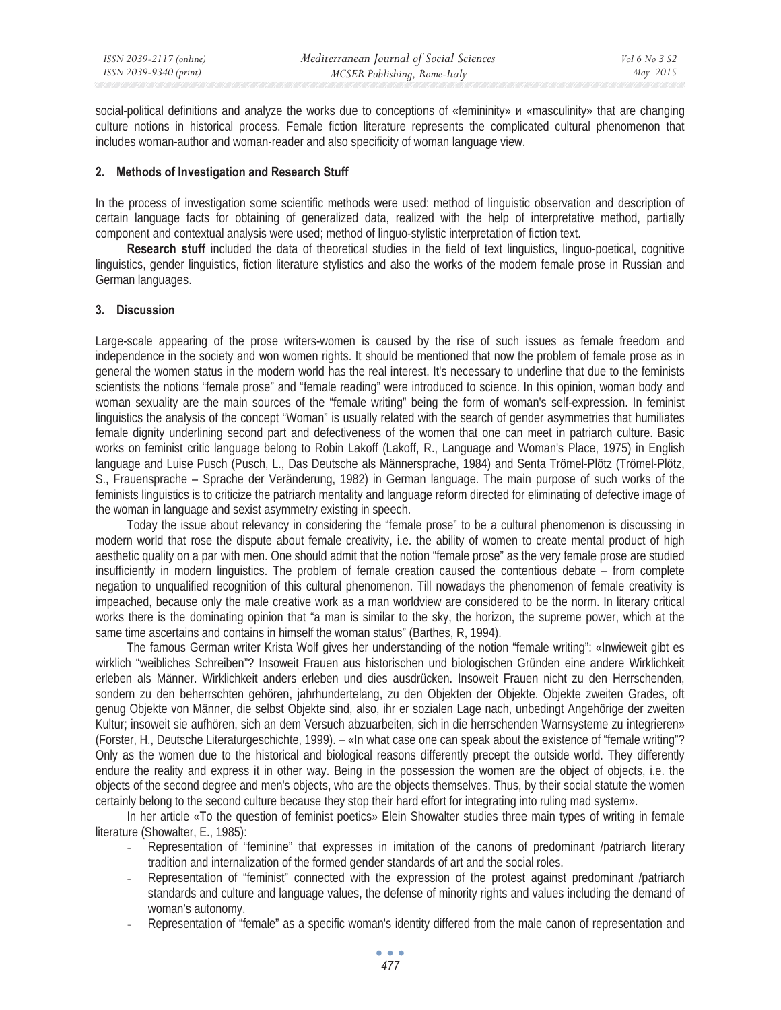social-political definitions and analyze the works due to conceptions of «femininity»  $\mu$  «masculinity» that are changing culture notions in historical process. Female fiction literature represents the complicated cultural phenomenon that includes woman-author and woman-reader and also specificity of woman language view.

### **2. Methods of Investigation and Research Stuff**

In the process of investigation some scientific methods were used: method of linguistic observation and description of certain language facts for obtaining of generalized data, realized with the help of interpretative method, partially component and contextual analysis were used; method of linguo-stylistic interpretation of fiction text.

**Research stuff** included the data of theoretical studies in the field of text linguistics, linguo-poetical, cognitive linguistics, gender linguistics, fiction literature stylistics and also the works of the modern female prose in Russian and German languages.

#### **3. Discussion**

Large-scale appearing of the prose writers-women is caused by the rise of such issues as female freedom and independence in the society and won women rights. It should be mentioned that now the problem of female prose as in general the women status in the modern world has the real interest. It's necessary to underline that due to the feminists scientists the notions "female prose" and "female reading" were introduced to science. In this opinion, woman body and woman sexuality are the main sources of the "female writing" being the form of woman's self-expression. In feminist linguistics the analysis of the concept "Woman" is usually related with the search of gender asymmetries that humiliates female dignity underlining second part and defectiveness of the women that one can meet in patriarch culture. Basic works on feminist critic language belong to Robin Lakoff (Lakoff, R., Language and Woman's Place, 1975) in English language and Luise Pusch (Pusch, L., Das Deutsche als Männersprache, 1984) and Senta Trömel-Plötz (Trömel-Plötz, S., Frauensprache – Sprache der Veränderung, 1982) in German language. The main purpose of such works of the feminists linguistics is to criticize the patriarch mentality and language reform directed for eliminating of defective image of the woman in language and sexist asymmetry existing in speech.

Today the issue about relevancy in considering the "female prose" to be a cultural phenomenon is discussing in modern world that rose the dispute about female creativity, i.e. the ability of women to create mental product of high aesthetic quality on a par with men. One should admit that the notion "female prose" as the very female prose are studied insufficiently in modern linguistics. The problem of female creation caused the contentious debate – from complete negation to unqualified recognition of this cultural phenomenon. Till nowadays the phenomenon of female creativity is impeached, because only the male creative work as a man worldview are considered to be the norm. In literary critical works there is the dominating opinion that "a man is similar to the sky, the horizon, the supreme power, which at the same time ascertains and contains in himself the woman status" (Barthes, R, 1994).

The famous German writer Krista Wolf gives her understanding of the notion "female writing": «Inwieweit gibt es wirklich "weibliches Schreiben"? Insoweit Frauen aus historischen und biologischen Gründen eine andere Wirklichkeit erleben als Männer. Wirklichkeit anders erleben und dies ausdrücken. Insoweit Frauen nicht zu den Herrschenden, sondern zu den beherrschten gehören, jahrhundertelang, zu den Objekten der Objekte. Objekte zweiten Grades, oft genug Objekte von Männer, die selbst Objekte sind, also, ihr er sozialen Lage nach, unbedingt Angehörige der zweiten Kultur; insoweit sie aufhören, sich an dem Versuch abzuarbeiten, sich in die herrschenden Warnsysteme zu integrieren» (Forster, H., Deutsche Literaturgeschichte, 1999). – «In what case one can speak about the existence of "female writing"? Only as the women due to the historical and biological reasons differently precept the outside world. They differently endure the reality and express it in other way. Being in the possession the women are the object of objects, i.e. the objects of the second degree and men's objects, who are the objects themselves. Thus, by their social statute the women certainly belong to the second culture because they stop their hard effort for integrating into ruling mad system».

In her article «To the question of feminist poetics» Elein Showalter studies three main types of writing in female literature (Showalter, E., 1985):

- Representation of "feminine" that expresses in imitation of the canons of predominant /patriarch literary tradition and internalization of the formed gender standards of art and the social roles.
- Representation of "feminist" connected with the expression of the protest against predominant /patriarch standards and culture and language values, the defense of minority rights and values including the demand of woman's autonomy.
- Representation of "female" as a specific woman's identity differed from the male canon of representation and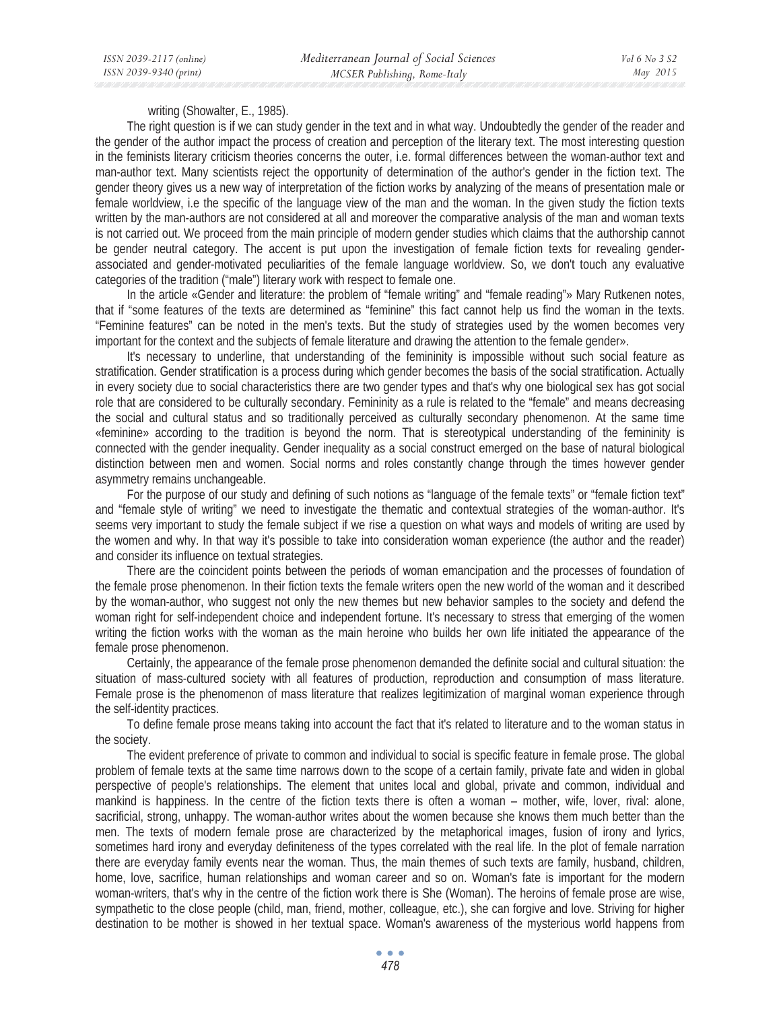writing (Showalter, E., 1985).

The right question is if we can study gender in the text and in what way. Undoubtedly the gender of the reader and the gender of the author impact the process of creation and perception of the literary text. The most interesting question in the feminists literary criticism theories concerns the outer, i.e. formal differences between the woman-author text and man-author text. Many scientists reject the opportunity of determination of the author's gender in the fiction text. The gender theory gives us a new way of interpretation of the fiction works by analyzing of the means of presentation male or female worldview, i.e the specific of the language view of the man and the woman. In the given study the fiction texts written by the man-authors are not considered at all and moreover the comparative analysis of the man and woman texts is not carried out. We proceed from the main principle of modern gender studies which claims that the authorship cannot be gender neutral category. The accent is put upon the investigation of female fiction texts for revealing genderassociated and gender-motivated peculiarities of the female language worldview. So, we don't touch any evaluative categories of the tradition ("male") literary work with respect to female one.

In the article «Gender and literature: the problem of "female writing" and "female reading"» Mary Rutkenen notes, that if "some features of the texts are determined as "feminine" this fact cannot help us find the woman in the texts. "Feminine features" can be noted in the men's texts. But the study of strategies used by the women becomes very important for the context and the subjects of female literature and drawing the attention to the female gender».

It's necessary to underline, that understanding of the femininity is impossible without such social feature as stratification. Gender stratification is a process during which gender becomes the basis of the social stratification. Actually in every society due to social characteristics there are two gender types and that's why one biological sex has got social role that are considered to be culturally secondary. Femininity as a rule is related to the "female" and means decreasing the social and cultural status and so traditionally perceived as culturally secondary phenomenon. At the same time «feminine» according to the tradition is beyond the norm. That is stereotypical understanding of the femininity is connected with the gender inequality. Gender inequality as a social construct emerged on the base of natural biological distinction between men and women. Social norms and roles constantly change through the times however gender asymmetry remains unchangeable.

For the purpose of our study and defining of such notions as "language of the female texts" or "female fiction text" and "female style of writing" we need to investigate the thematic and contextual strategies of the woman-author. It's seems very important to study the female subject if we rise a question on what ways and models of writing are used by the women and why. In that way it's possible to take into consideration woman experience (the author and the reader) and consider its influence on textual strategies.

There are the coincident points between the periods of woman emancipation and the processes of foundation of the female prose phenomenon. In their fiction texts the female writers open the new world of the woman and it described by the woman-author, who suggest not only the new themes but new behavior samples to the society and defend the woman right for self-independent choice and independent fortune. It's necessary to stress that emerging of the women writing the fiction works with the woman as the main heroine who builds her own life initiated the appearance of the female prose phenomenon.

Certainly, the appearance of the female prose phenomenon demanded the definite social and cultural situation: the situation of mass-cultured society with all features of production, reproduction and consumption of mass literature. Female prose is the phenomenon of mass literature that realizes legitimization of marginal woman experience through the self-identity practices.

To define female prose means taking into account the fact that it's related to literature and to the woman status in the society.

The evident preference of private to common and individual to social is specific feature in female prose. The global problem of female texts at the same time narrows down to the scope of a certain family, private fate and widen in global perspective of people's relationships. The element that unites local and global, private and common, individual and mankind is happiness. In the centre of the fiction texts there is often a woman – mother, wife, lover, rival: alone, sacrificial, strong, unhappy. The woman-author writes about the women because she knows them much better than the men. The texts of modern female prose are characterized by the metaphorical images, fusion of irony and lyrics, sometimes hard irony and everyday definiteness of the types correlated with the real life. In the plot of female narration there are everyday family events near the woman. Thus, the main themes of such texts are family, husband, children, home, love, sacrifice, human relationships and woman career and so on. Woman's fate is important for the modern woman-writers, that's why in the centre of the fiction work there is She (Woman). The heroins of female prose are wise, sympathetic to the close people (child, man, friend, mother, colleague, etc.), she can forgive and love. Striving for higher destination to be mother is showed in her textual space. Woman's awareness of the mysterious world happens from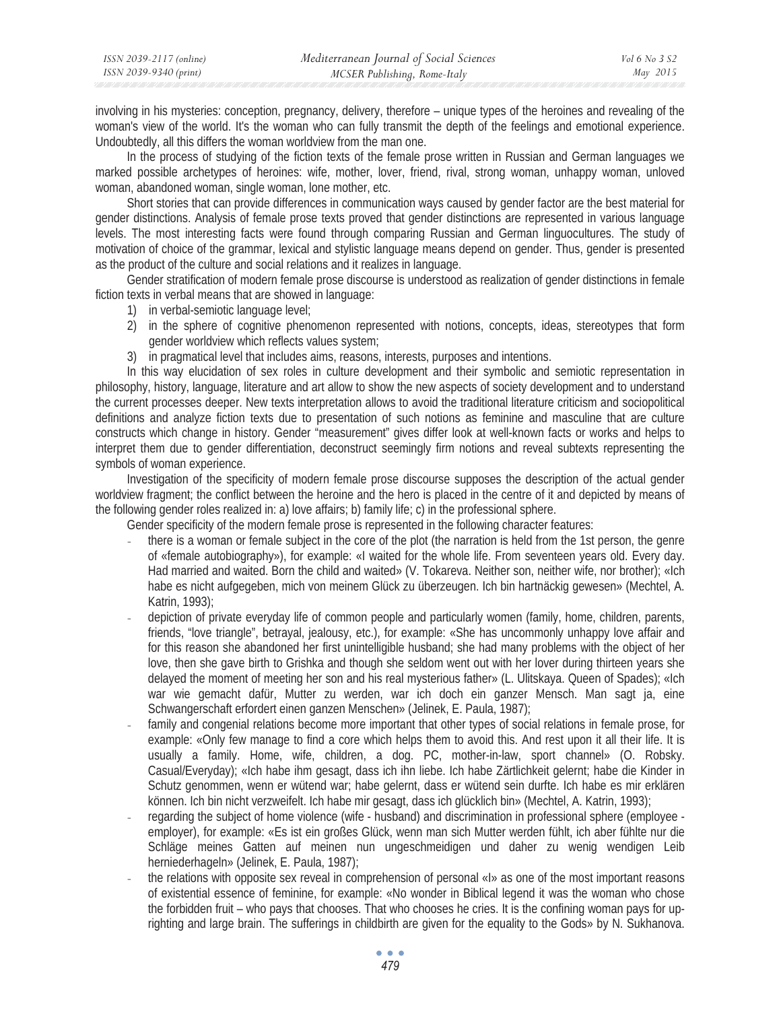| ISSN 2039-2117 (online) | Mediterranean Journal of Social Sciences | Vol 6 No 3 S2 |
|-------------------------|------------------------------------------|---------------|
| ISSN 2039-9340 (print)  | MCSER Publishing, Rome-Italy             | May 2015      |
|                         |                                          |               |

involving in his mysteries: conception, pregnancy, delivery, therefore – unique types of the heroines and revealing of the woman's view of the world. It's the woman who can fully transmit the depth of the feelings and emotional experience. Undoubtedly, all this differs the woman worldview from the man one.

In the process of studying of the fiction texts of the female prose written in Russian and German languages we marked possible archetypes of heroines: wife, mother, lover, friend, rival, strong woman, unhappy woman, unloved woman, abandoned woman, single woman, lone mother, etc.

Short stories that can provide differences in communication ways caused by gender factor are the best material for gender distinctions. Analysis of female prose texts proved that gender distinctions are represented in various language levels. The most interesting facts were found through comparing Russian and German linguocultures. The study of motivation of choice of the grammar, lexical and stylistic language means depend on gender. Thus, gender is presented as the product of the culture and social relations and it realizes in language.

Gender stratification of modern female prose discourse is understood as realization of gender distinctions in female fiction texts in verbal means that are showed in language:

- 1) in verbal-semiotic language level;
- 2) in the sphere of cognitive phenomenon represented with notions, concepts, ideas, stereotypes that form gender worldview which reflects values system;
- 3) in pragmatical level that includes aims, reasons, interests, purposes and intentions.

In this way elucidation of sex roles in culture development and their symbolic and semiotic representation in philosophy, history, language, literature and art allow to show the new aspects of society development and to understand the current processes deeper. New texts interpretation allows to avoid the traditional literature criticism and sociopolitical definitions and analyze fiction texts due to presentation of such notions as feminine and masculine that are culture constructs which change in history. Gender "measurement" gives differ look at well-known facts or works and helps to interpret them due to gender differentiation, deconstruct seemingly firm notions and reveal subtexts representing the symbols of woman experience.

Investigation of the specificity of modern female prose discourse supposes the description of the actual gender worldview fragment; the conflict between the heroine and the hero is placed in the centre of it and depicted by means of the following gender roles realized in: a) love affairs; b) family life; c) in the professional sphere.

Gender specificity of the modern female prose is represented in the following character features:

- there is a woman or female subject in the core of the plot (the narration is held from the 1st person, the genre of «female autobiography»), for example: «I waited for the whole life. From seventeen years old. Every day. Had married and waited. Born the child and waited» (V. Tokareva. Neither son, neither wife, nor brother); «Ich habe es nicht aufgegeben, mich von meinem Glück zu überzeugen. Ich bin hartnäckig gewesen» (Mechtel, A. Katrin, 1993);
- depiction of private everyday life of common people and particularly women (family, home, children, parents, friends, "love triangle", betrayal, jealousy, etc.), for example: «She has uncommonly unhappy love affair and for this reason she abandoned her first unintelligible husband; she had many problems with the object of her love, then she gave birth to Grishka and though she seldom went out with her lover during thirteen years she delayed the moment of meeting her son and his real mysterious father» (L. Ulitskaya. Queen of Spades); «Ich war wie gemacht dafür, Mutter zu werden, war ich doch ein ganzer Mensch. Man sagt ja, eine Schwangerschaft erfordert einen ganzen Menschen» (Jelinek, E. Paula, 1987);
- family and congenial relations become more important that other types of social relations in female prose, for example: «Only few manage to find a core which helps them to avoid this. And rest upon it all their life. It is usually a family. Home, wife, children, a dog. PC, mother-in-law, sport channel» (O. Robsky. Casual/Everyday); «Ich habe ihm gesagt, dass ich ihn liebe. Ich habe Zärtlichkeit gelernt; habe die Kinder in Schutz genommen, wenn er wütend war; habe gelernt, dass er wütend sein durfte. Ich habe es mir erklären können. Ich bin nicht verzweifelt. Ich habe mir gesagt, dass ich glücklich bin» (Mechtel, A. Katrin, 1993);
- regarding the subject of home violence (wife husband) and discrimination in professional sphere (employee employer), for example: «Es ist ein großes Glück, wenn man sich Mutter werden fühlt, ich aber fühlte nur die Schläge meines Gatten auf meinen nun ungeschmeidigen und daher zu wenig wendigen Leib herniederhageln» (Jelinek, E. Paula, 1987);
- the relations with opposite sex reveal in comprehension of personal «I» as one of the most important reasons of existential essence of feminine, for example: «No wonder in Biblical legend it was the woman who chose the forbidden fruit – who pays that chooses. That who chooses he cries. It is the confining woman pays for uprighting and large brain. The sufferings in childbirth are given for the equality to the Gods» by N. Sukhanova.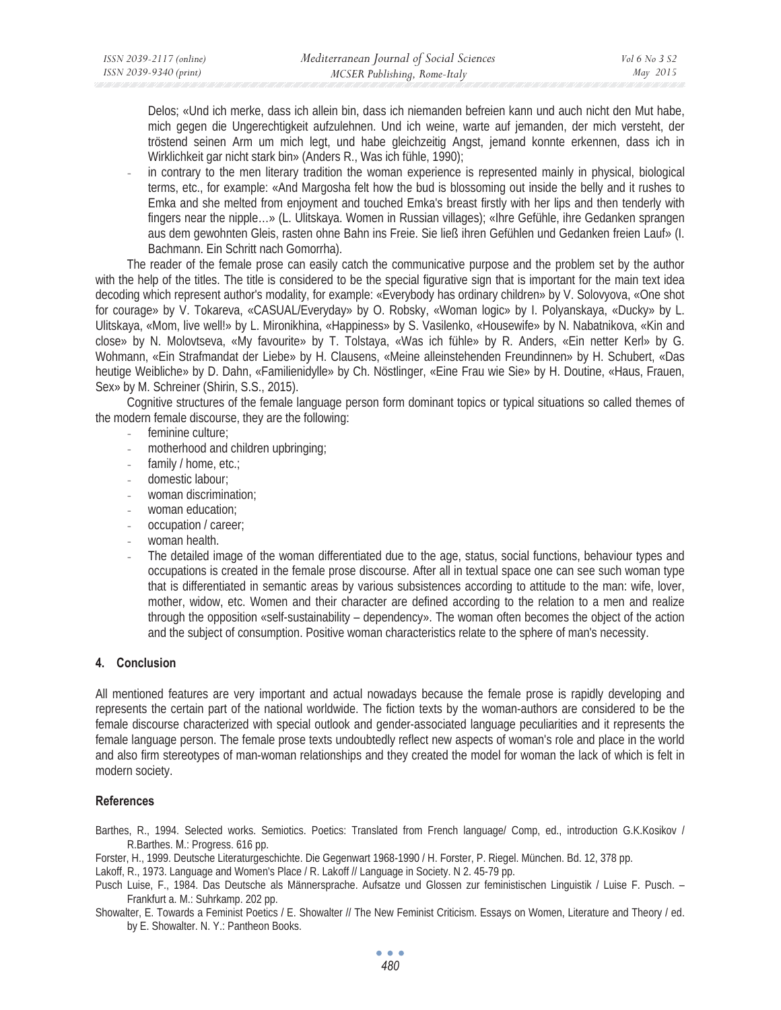Delos; «Und ich merke, dass ich allein bin, dass ich niemanden befreien kann und auch nicht den Mut habe, mich gegen die Ungerechtigkeit aufzulehnen. Und ich weine, warte auf jemanden, der mich versteht, der tröstend seinen Arm um mich legt, und habe gleichzeitig Angst, jemand konnte erkennen, dass ich in Wirklichkeit gar nicht stark bin» (Anders R., Was ich fühle, 1990);

in contrary to the men literary tradition the woman experience is represented mainly in physical, biological terms, etc., for example: «And Margosha felt how the bud is blossoming out inside the belly and it rushes to Emka and she melted from enjoyment and touched Emka's breast firstly with her lips and then tenderly with fingers near the nipple…» (L. Ulitskaya. Women in Russian villages); «Ihre Gefühle, ihre Gedanken sprangen aus dem gewohnten Gleis, rasten ohne Bahn ins Freie. Sie ließ ihren Gefühlen und Gedanken freien Lauf» (I. Bachmann. Ein Schritt nach Gomorrha).

The reader of the female prose can easily catch the communicative purpose and the problem set by the author with the help of the titles. The title is considered to be the special figurative sign that is important for the main text idea decoding which represent author's modality, for example: «Everybody has ordinary children» by V. Solovyova, «One shot for courage» by V. Tokareva, «CASUAL/Everyday» by O. Robsky, «Woman logic» by I. Polyanskaya, «Ducky» by L. Ulitskaya, «Mom, live well!» by L. Mironikhina, «Happiness» by S. Vasilenko, «Housewife» by N. Nabatnikova, «Kin and close» by N. Molovtseva, «My favourite» by T. Tolstaya, «Was ich fühle» by R. Anders, «Ein netter Kerl» by G. Wohmann, «Ein Strafmandat der Liebe» by H. Clausens, «Meine alleinstehenden Freundinnen» by H. Schubert, «Das heutige Weibliche» by D. Dahn, «Familienidylle» by Ch. Nöstlinger, «Eine Frau wie Sie» by H. Doutine, «Haus, Frauen, Sex» by M. Schreiner (Shirin, S.S., 2015).

Cognitive structures of the female language person form dominant topics or typical situations so called themes of the modern female discourse, they are the following:

- feminine culture;
- motherhood and children upbringing;
- family / home, etc.;
- domestic labour;
- woman discrimination;
- woman education;
- occupation / career;
- woman health.
- The detailed image of the woman differentiated due to the age, status, social functions, behaviour types and occupations is created in the female prose discourse. After all in textual space one can see such woman type that is differentiated in semantic areas by various subsistences according to attitude to the man: wife, lover, mother, widow, etc. Women and their character are defined according to the relation to a men and realize through the opposition «self-sustainability – dependency». The woman often becomes the object of the action and the subject of consumption. Positive woman characteristics relate to the sphere of man's necessity.

### **4. Conclusion**

All mentioned features are very important and actual nowadays because the female prose is rapidly developing and represents the certain part of the national worldwide. The fiction texts by the woman-authors are considered to be the female discourse characterized with special outlook and gender-associated language peculiarities and it represents the female language person. The female prose texts undoubtedly reflect new aspects of woman's role and place in the world and also firm stereotypes of man-woman relationships and they created the model for woman the lack of which is felt in modern society.

# **References**

Barthes, R., 1994. Selected works. Semiotics. Poetics: Translated from French language/ Comp, ed., introduction G.K.Kosikov / R.Barthes. M.: Progress. 616 pp.

- Forster, H., 1999. Deutsche Literaturgeschichte. Die Gegenwart 1968-1990 / H. Forster, P. Riegel. München. Bd. 12, 378 pp.
- Lakoff, R., 1973. Language and Women's Place / R. Lakoff // Language in Society. N 2. 45-79 pp.
- Pusch Luise, F., 1984. Das Deutsche als Männersprache. Aufsatze und Glossen zur feministischen Linguistik / Luise F. Pusch. Frankfurt a. M.: Suhrkamp. 202 pp.
- Showalter, E. Towards a Feminist Poetics / E. Showalter // The New Feminist Criticism. Essays on Women, Literature and Theory / ed. by E. Showalter. N. Y.: Pantheon Books.